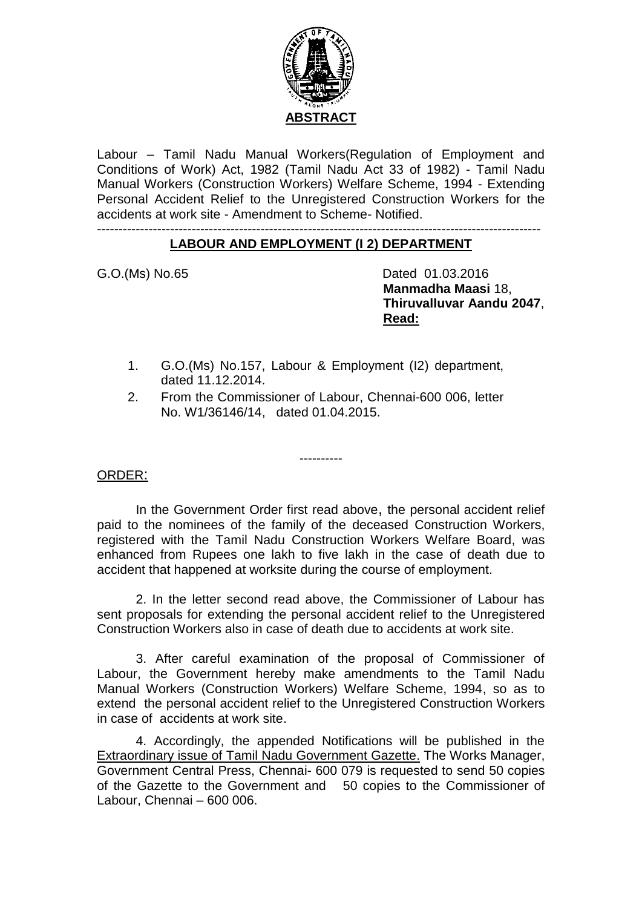

Labour – Tamil Nadu Manual Workers(Regulation of Employment and Conditions of Work) Act, 1982 (Tamil Nadu Act 33 of 1982) - Tamil Nadu Manual Workers (Construction Workers) Welfare Scheme, 1994 - Extending Personal Accident Relief to the Unregistered Construction Workers for the accidents at work site - Amendment to Scheme- Notified.

#### ------------------------------------------------------------------------------------------------------- **LABOUR AND EMPLOYMENT (I 2) DEPARTMENT**

G.O.(Ms) No.65 Dated 01.03.2016  **Manmadha Maasi** 18, **Thiruvalluvar Aandu 2047**,  **Read:**

- 1. G.O.(Ms) No.157, Labour & Employment (I2) department, dated 11.12.2014.
- 2. From the Commissioner of Labour, Chennai-600 006, letter No. W1/36146/14, dated 01.04.2015.

----------

ORDER:

In the Government Order first read above, the personal accident relief paid to the nominees of the family of the deceased Construction Workers, registered with the Tamil Nadu Construction Workers Welfare Board, was enhanced from Rupees one lakh to five lakh in the case of death due to accident that happened at worksite during the course of employment.

2. In the letter second read above, the Commissioner of Labour has sent proposals for extending the personal accident relief to the Unregistered Construction Workers also in case of death due to accidents at work site.

3. After careful examination of the proposal of Commissioner of Labour, the Government hereby make amendments to the Tamil Nadu Manual Workers (Construction Workers) Welfare Scheme, 1994, so as to extend the personal accident relief to the Unregistered Construction Workers in case of accidents at work site.

4. Accordingly, the appended Notifications will be published in the Extraordinary issue of Tamil Nadu Government Gazette. The Works Manager, Government Central Press, Chennai- 600 079 is requested to send 50 copies of the Gazette to the Government and 50 copies to the Commissioner of Labour, Chennai – 600 006.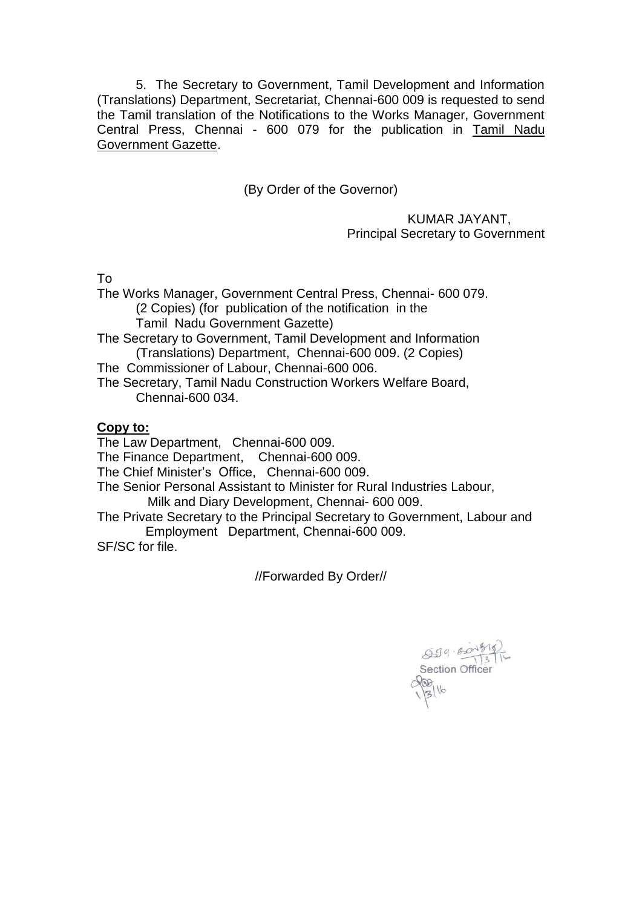5. The Secretary to Government, Tamil Development and Information (Translations) Department, Secretariat, Chennai-600 009 is requested to send the Tamil translation of the Notifications to the Works Manager, Government Central Press, Chennai - 600 079 for the publication in Tamil Nadu Government Gazette.

(By Order of the Governor)

 KUMAR JAYANT, Principal Secretary to Government

To

The Works Manager, Government Central Press, Chennai- 600 079. (2 Copies) (for publication of the notification in the Tamil Nadu Government Gazette)

The Secretary to Government, Tamil Development and Information (Translations) Department, Chennai-600 009. (2 Copies)

The Commissioner of Labour, Chennai-600 006.

The Secretary, Tamil Nadu Construction Workers Welfare Board, Chennai-600 034.

# **Copy to:**

The Law Department, Chennai-600 009.

The Finance Department, Chennai-600 009.

The Chief Minister's Office, Chennai-600 009.

The Senior Personal Assistant to Minister for Rural Industries Labour,

Milk and Diary Development, Chennai- 600 009.

The Private Secretary to the Principal Secretary to Government, Labour and Employment Department, Chennai-600 009.

SF/SC for file.

//Forwarded By Order//

 $659 \cdot 60 \cdot 619$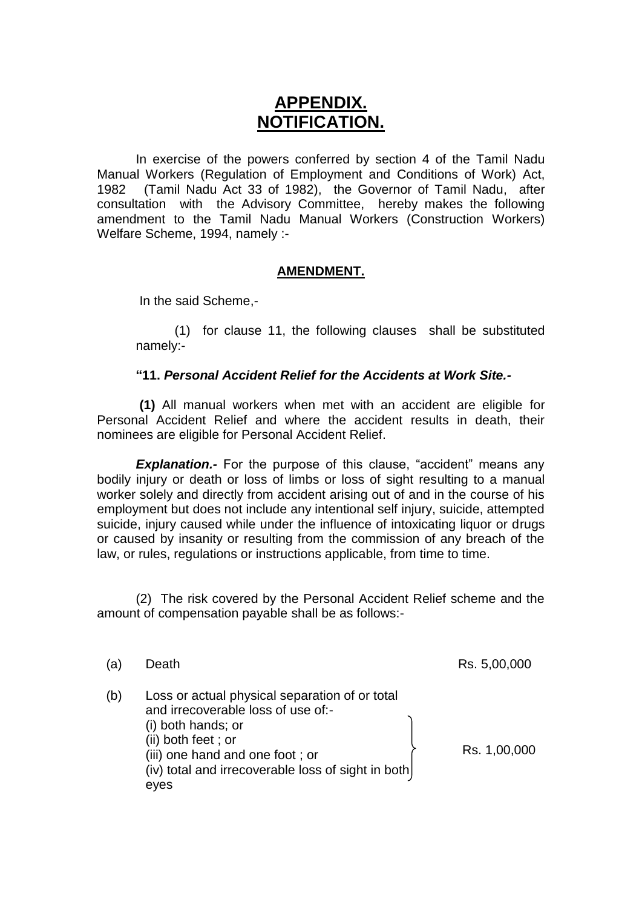# **APPENDIX. NOTIFICATION.**

In exercise of the powers conferred by section 4 of the Tamil Nadu Manual Workers (Regulation of Employment and Conditions of Work) Act, 1982 (Tamil Nadu Act 33 of 1982), the Governor of Tamil Nadu, after consultation with the Advisory Committee, hereby makes the following amendment to the Tamil Nadu Manual Workers (Construction Workers) Welfare Scheme, 1994, namely :-

#### **AMENDMENT.**

In the said Scheme,-

(1) for clause 11, the following clauses shall be substituted namely:-

#### **"11.** *Personal Accident Relief for the Accidents at Work Site.-*

**(1)** All manual workers when met with an accident are eligible for Personal Accident Relief and where the accident results in death, their nominees are eligible for Personal Accident Relief.

**Explanation.**- For the purpose of this clause, "accident" means any bodily injury or death or loss of limbs or loss of sight resulting to a manual worker solely and directly from accident arising out of and in the course of his employment but does not include any intentional self injury, suicide, attempted suicide, injury caused while under the influence of intoxicating liquor or drugs or caused by insanity or resulting from the commission of any breach of the law, or rules, regulations or instructions applicable, from time to time.

(2) The risk covered by the Personal Accident Relief scheme and the amount of compensation payable shall be as follows:-

| (a  | Death                                                                                                                                                                                                                             | Rs. 5,00,000 |
|-----|-----------------------------------------------------------------------------------------------------------------------------------------------------------------------------------------------------------------------------------|--------------|
| (b) | Loss or actual physical separation of or total<br>and irrecoverable loss of use of:-<br>(i) both hands; or<br>(ii) both feet; or<br>(iii) one hand and one foot; or<br>(iv) total and irrecoverable loss of sight in both<br>eyes | Rs. 1,00,000 |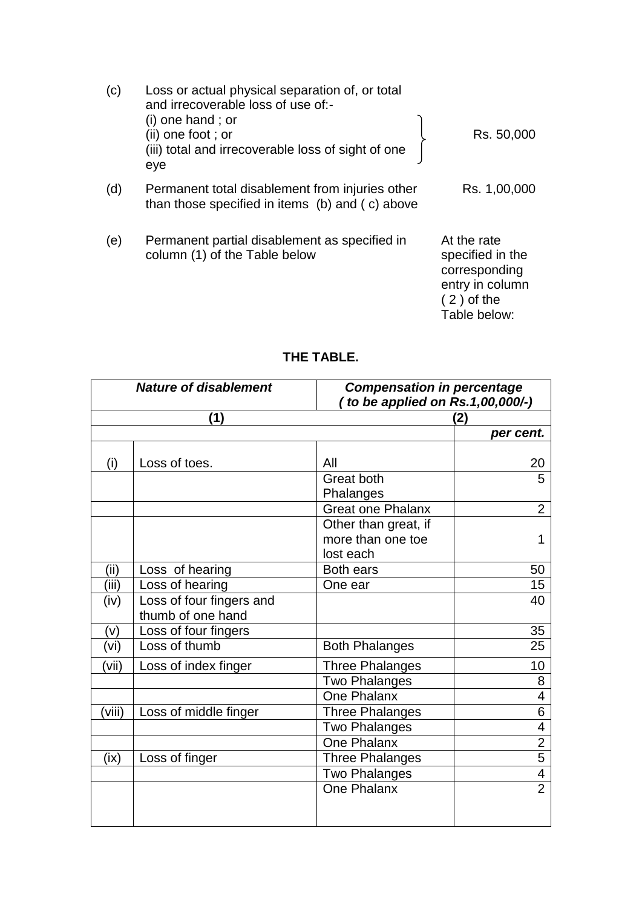| (c) | Loss or actual physical separation of, or total<br>and irrecoverable loss of use of:-<br>$(i)$ one hand; or<br>(ii) one foot ; or<br>(iii) total and irrecoverable loss of sight of one<br>eye | Rs. 50,000                                                                                          |
|-----|------------------------------------------------------------------------------------------------------------------------------------------------------------------------------------------------|-----------------------------------------------------------------------------------------------------|
| (d) | Permanent total disablement from injuries other<br>than those specified in items (b) and (c) above                                                                                             | Rs. 1,00,000                                                                                        |
| (e) | Permanent partial disablement as specified in<br>column (1) of the Table below                                                                                                                 | At the rate<br>specified in the<br>corresponding<br>entry in column<br>$(2)$ of the<br>Table below: |

# **THE TABLE.**

| <b>Nature of disablement</b> |                                               |                                 | <b>Compensation in percentage</b> |  |  |
|------------------------------|-----------------------------------------------|---------------------------------|-----------------------------------|--|--|
|                              |                                               | to be applied on Rs.1,00,000/-) |                                   |  |  |
| (1)                          |                                               |                                 | (2)                               |  |  |
|                              |                                               |                                 | per cent.                         |  |  |
| (i)                          | Loss of toes.                                 | All                             | 20                                |  |  |
|                              |                                               | Great both                      | 5                                 |  |  |
|                              |                                               | Phalanges                       |                                   |  |  |
|                              |                                               | <b>Great one Phalanx</b>        | $\overline{2}$                    |  |  |
|                              |                                               | Other than great, if            |                                   |  |  |
|                              |                                               | more than one toe               | 1                                 |  |  |
|                              |                                               | lost each                       |                                   |  |  |
| (ii)                         | Loss of hearing                               | <b>Both ears</b>                | 50                                |  |  |
| (iii)                        | Loss of hearing                               | One ear                         | 15                                |  |  |
| (iv)                         | Loss of four fingers and<br>thumb of one hand |                                 | 40                                |  |  |
| (v)                          | Loss of four fingers                          |                                 | 35                                |  |  |
| (vi)                         | Loss of thumb                                 | <b>Both Phalanges</b>           | 25                                |  |  |
| (vii)                        | Loss of index finger                          | <b>Three Phalanges</b>          | 10                                |  |  |
|                              |                                               | <b>Two Phalanges</b>            | 8                                 |  |  |
|                              |                                               | One Phalanx                     | $\overline{4}$                    |  |  |
| (viii)                       | Loss of middle finger                         | <b>Three Phalanges</b>          | 6                                 |  |  |
|                              |                                               | <b>Two Phalanges</b>            | $\overline{\mathcal{A}}$          |  |  |
|                              |                                               | <b>One Phalanx</b>              | $\overline{2}$                    |  |  |
| (ix)                         | Loss of finger                                | <b>Three Phalanges</b>          | $\overline{5}$                    |  |  |
|                              |                                               | <b>Two Phalanges</b>            | $\overline{\mathbf{4}}$           |  |  |
|                              |                                               | One Phalanx                     | $\overline{2}$                    |  |  |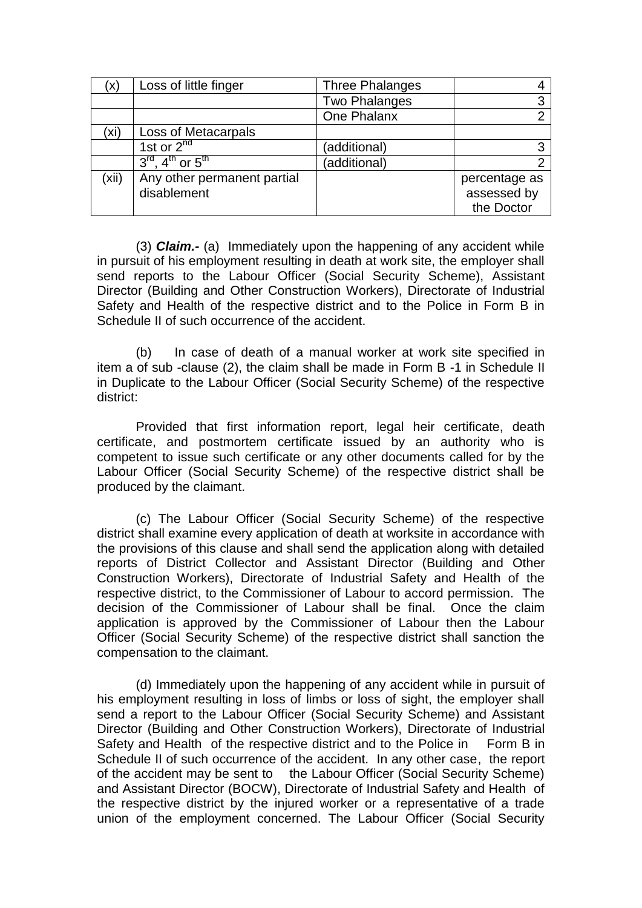| X)    | Loss of little finger                                | <b>Three Phalanges</b> |                                            |
|-------|------------------------------------------------------|------------------------|--------------------------------------------|
|       |                                                      | <b>Two Phalanges</b>   | っ                                          |
|       |                                                      | One Phalanx            |                                            |
| (xi   | Loss of Metacarpals                                  |                        |                                            |
|       | 1st or $2^{nd}$                                      | (additional)           | ◠                                          |
|       | $3^{\text{rd}}$ , 4 <sup>th</sup> or $5^{\text{th}}$ | (additional)           |                                            |
| (xii) | Any other permanent partial<br>disablement           |                        | percentage as<br>assessed by<br>the Doctor |

(3) *Claim.-* (a) Immediately upon the happening of any accident while in pursuit of his employment resulting in death at work site, the employer shall send reports to the Labour Officer (Social Security Scheme), Assistant Director (Building and Other Construction Workers), Directorate of Industrial Safety and Health of the respective district and to the Police in Form B in Schedule II of such occurrence of the accident.

(b) In case of death of a manual worker at work site specified in item a of sub -clause (2), the claim shall be made in Form B -1 in Schedule II in Duplicate to the Labour Officer (Social Security Scheme) of the respective district:

Provided that first information report, legal heir certificate, death certificate, and postmortem certificate issued by an authority who is competent to issue such certificate or any other documents called for by the Labour Officer (Social Security Scheme) of the respective district shall be produced by the claimant.

(c) The Labour Officer (Social Security Scheme) of the respective district shall examine every application of death at worksite in accordance with the provisions of this clause and shall send the application along with detailed reports of District Collector and Assistant Director (Building and Other Construction Workers), Directorate of Industrial Safety and Health of the respective district, to the Commissioner of Labour to accord permission. The decision of the Commissioner of Labour shall be final. Once the claim application is approved by the Commissioner of Labour then the Labour Officer (Social Security Scheme) of the respective district shall sanction the compensation to the claimant.

(d) Immediately upon the happening of any accident while in pursuit of his employment resulting in loss of limbs or loss of sight, the employer shall send a report to the Labour Officer (Social Security Scheme) and Assistant Director (Building and Other Construction Workers), Directorate of Industrial Safety and Health of the respective district and to the Police in Form B in Schedule II of such occurrence of the accident. In any other case, the report of the accident may be sent to the Labour Officer (Social Security Scheme) and Assistant Director (BOCW), Directorate of Industrial Safety and Health of the respective district by the injured worker or a representative of a trade union of the employment concerned. The Labour Officer (Social Security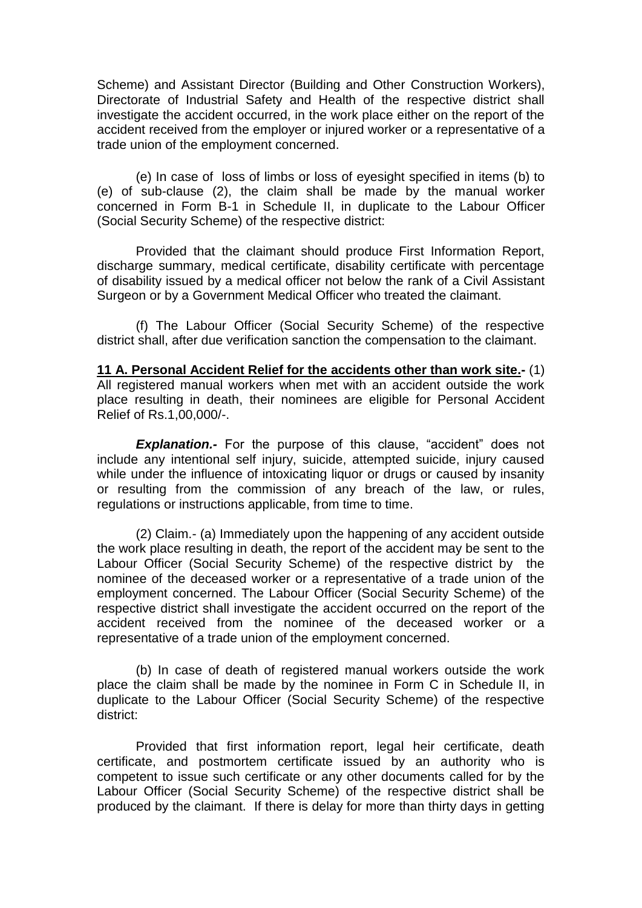Scheme) and Assistant Director (Building and Other Construction Workers), Directorate of Industrial Safety and Health of the respective district shall investigate the accident occurred, in the work place either on the report of the accident received from the employer or injured worker or a representative of a trade union of the employment concerned.

(e) In case of loss of limbs or loss of eyesight specified in items (b) to (e) of sub-clause (2), the claim shall be made by the manual worker concerned in Form B-1 in Schedule II, in duplicate to the Labour Officer (Social Security Scheme) of the respective district:

Provided that the claimant should produce First Information Report, discharge summary, medical certificate, disability certificate with percentage of disability issued by a medical officer not below the rank of a Civil Assistant Surgeon or by a Government Medical Officer who treated the claimant.

(f) The Labour Officer (Social Security Scheme) of the respective district shall, after due verification sanction the compensation to the claimant.

**11 A. Personal Accident Relief for the accidents other than work site.-** (1) All registered manual workers when met with an accident outside the work place resulting in death, their nominees are eligible for Personal Accident Relief of Rs.1,00,000/-.

*Explanation.-* For the purpose of this clause, "accident" does not include any intentional self injury, suicide, attempted suicide, injury caused while under the influence of intoxicating liquor or drugs or caused by insanity or resulting from the commission of any breach of the law, or rules, regulations or instructions applicable, from time to time.

(2) Claim.- (a) Immediately upon the happening of any accident outside the work place resulting in death, the report of the accident may be sent to the Labour Officer (Social Security Scheme) of the respective district by the nominee of the deceased worker or a representative of a trade union of the employment concerned. The Labour Officer (Social Security Scheme) of the respective district shall investigate the accident occurred on the report of the accident received from the nominee of the deceased worker or a representative of a trade union of the employment concerned.

(b) In case of death of registered manual workers outside the work place the claim shall be made by the nominee in Form C in Schedule II, in duplicate to the Labour Officer (Social Security Scheme) of the respective district:

Provided that first information report, legal heir certificate, death certificate, and postmortem certificate issued by an authority who is competent to issue such certificate or any other documents called for by the Labour Officer (Social Security Scheme) of the respective district shall be produced by the claimant. If there is delay for more than thirty days in getting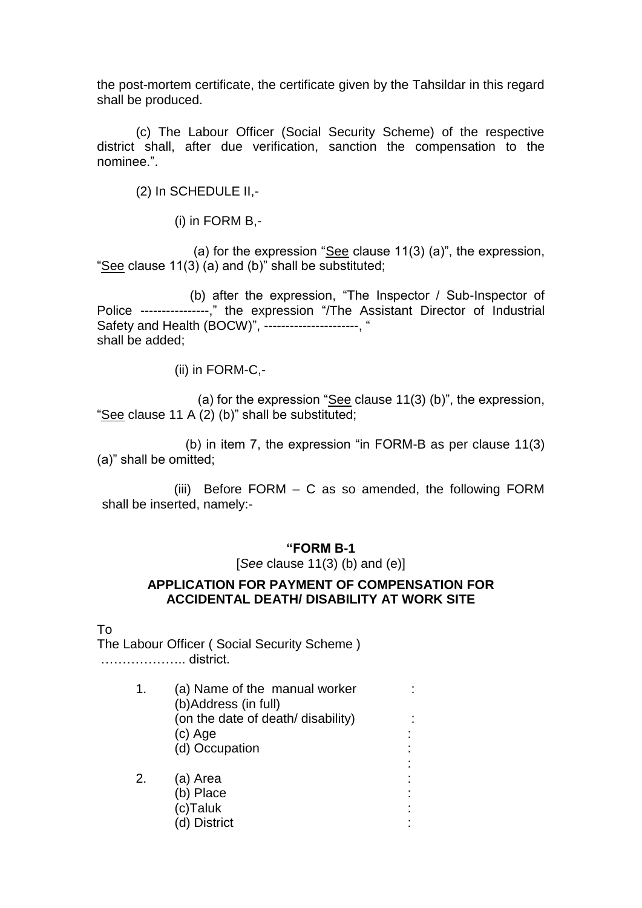the post-mortem certificate, the certificate given by the Tahsildar in this regard shall be produced.

(c) The Labour Officer (Social Security Scheme) of the respective district shall, after due verification, sanction the compensation to the nominee.".

(2) In SCHEDULE II,-

(i) in FORM B,-

 (a) for the expression "See clause 11(3) (a)", the expression, "See clause 11(3) (a) and (b)" shall be substituted;

 (b) after the expression, "The Inspector / Sub-Inspector of Police ----------------," the expression "/The Assistant Director of Industrial Safety and Health (BOCW)", ----------------------, " shall be added;

(ii) in FORM-C,-

 (a) for the expression "See clause 11(3) (b)", the expression, "See clause 11 A  $(2)$  (b)" shall be substituted;

 (b) in item 7, the expression "in FORM-B as per clause 11(3) (a)" shall be omitted;

 (iii) Before FORM – C as so amended, the following FORM shall be inserted, namely:-

#### **"FORM B-1**

[*See* clause 11(3) (b) and (e)]

## **APPLICATION FOR PAYMENT OF COMPENSATION FOR ACCIDENTAL DEATH/ DISABILITY AT WORK SITE**

To

The Labour Officer ( Social Security Scheme ) ……………….. district.

| 1. | (a) Name of the manual worker<br>(b)Address (in full) |  |
|----|-------------------------------------------------------|--|
|    | (on the date of death/ disability)                    |  |
|    | (c) Age                                               |  |
|    | (d) Occupation                                        |  |
|    |                                                       |  |
| 2. | (a) Area                                              |  |
|    | (b) Place                                             |  |
|    | (c)Taluk                                              |  |
|    | (d) District                                          |  |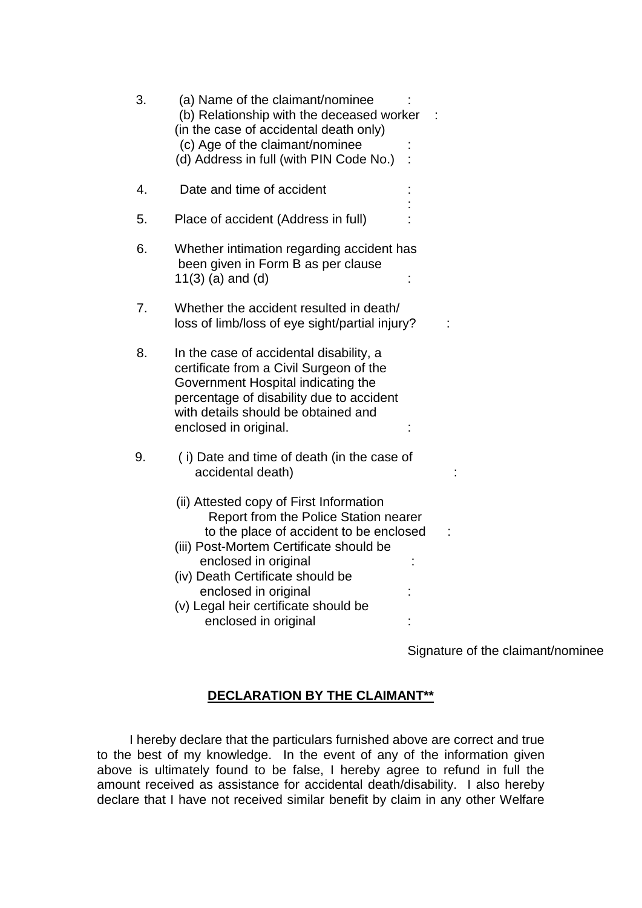| 3. | (a) Name of the claimant/nominee<br>(b) Relationship with the deceased worker<br>(in the case of accidental death only)<br>(c) Age of the claimant/nominee<br>(d) Address in full (with PIN Code No.)                                                                                                                      |  |  |
|----|----------------------------------------------------------------------------------------------------------------------------------------------------------------------------------------------------------------------------------------------------------------------------------------------------------------------------|--|--|
| 4. | Date and time of accident                                                                                                                                                                                                                                                                                                  |  |  |
| 5. | Place of accident (Address in full)                                                                                                                                                                                                                                                                                        |  |  |
| 6. | Whether intimation regarding accident has<br>been given in Form B as per clause<br>$11(3)$ (a) and (d)                                                                                                                                                                                                                     |  |  |
| 7. | Whether the accident resulted in death/<br>loss of limb/loss of eye sight/partial injury?                                                                                                                                                                                                                                  |  |  |
| 8. | In the case of accidental disability, a<br>certificate from a Civil Surgeon of the<br>Government Hospital indicating the<br>percentage of disability due to accident<br>with details should be obtained and<br>enclosed in original.                                                                                       |  |  |
| 9. | (i) Date and time of death (in the case of<br>accidental death)                                                                                                                                                                                                                                                            |  |  |
|    | (ii) Attested copy of First Information<br>Report from the Police Station nearer<br>to the place of accident to be enclosed<br>(iii) Post-Mortem Certificate should be<br>enclosed in original<br>(iv) Death Certificate should be<br>enclosed in original<br>(v) Legal heir certificate should be<br>enclosed in original |  |  |

Signature of the claimant/nominee

# **DECLARATION BY THE CLAIMANT\*\***

 I hereby declare that the particulars furnished above are correct and true to the best of my knowledge. In the event of any of the information given above is ultimately found to be false, I hereby agree to refund in full the amount received as assistance for accidental death/disability. I also hereby declare that I have not received similar benefit by claim in any other Welfare